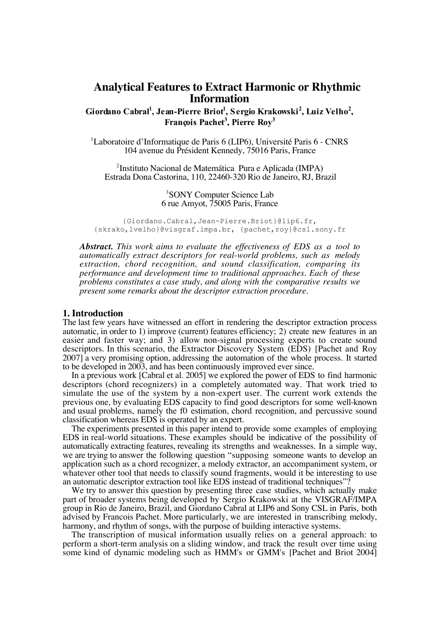# **Analytical Features to Extract Harmonic or Rhythmic Information**

Giordano Cabral<sup>1</sup>, Jean-Pierre Briot<sup>1</sup>, Sergio Krakowski<sup>2</sup>, Luiz Velho<sup>2</sup>, François Pachet<sup>3</sup>, Pierre Roy<sup>3</sup>

<sup>1</sup>Laboratoire d'Informatique de Paris 6 (LIP6), Université Paris 6 - CNRS 104 avenue du Président Kennedy, 75016 Paris, France

2 Instituto Nacional de Matemática Pura e Aplicada (IMPA) Estrada Dona Castorina, 110, 22460-320 Rio de Janeiro, RJ, Brazil

> 3 SONY Computer Science Lab 6 rue Amyot, 75005 Paris, France

{Giordano.Cabral,Jean-Pierre.Briot}@lip6.fr, {skrako,lvelho}@visgraf.impa.br, {pachet,roy}@csl.sony.fr

*Abstract. This work aims to evaluate the effectiveness of EDS as a tool to automatically extract descriptors for real-world problems, such as melody extraction, chord recognition, and sound classification, comparing its performance and development time to traditional approaches. Each of these problems constitutes a case study, and along with the comparative results we present some remarks about the descriptor extraction procedure.*

#### **1. Introduction**

The last few years have witnessed an effort in rendering the descriptor extraction process automatic, in order to 1) improve (current) features efficiency; 2) create new features in an easier and faster way; and 3) allow non-signal processing experts to create sound descriptors. In this scenario, the Extractor Discovery System (EDS) [Pachet and Roy 2007] a very promising option, addressing the automation of the whole process. It started to be developed in 2003, and has been continuously improved ever since.

In a previous work [Cabral et al. 2005] we explored the power of EDS to find harmonic descriptors (chord recognizers) in a completely automated way. That work tried to simulate the use of the system by a non-expert user. The current work extends the previous one, by evaluating EDS capacity to find good descriptors for some well-known and usual problems, namely the f0 estimation, chord recognition, and percussive sound classification whereas EDS is operated by an expert.

The experiments presented in this paper intend to provide some examples of employing EDS in real-world situations. These examples should be indicative of the possibility of automatically extracting features, revealing its strengths and weaknesses. In a simple way, we are trying to answer the following question "supposing someone wants to develop an application such as a chord recognizer, a melody extractor, an accompaniment system, or whatever other tool that needs to classify sound fragments, would it be interesting to use an automatic descriptor extraction tool like EDS instead of traditional techniques"?

We try to answer this question by presenting three case studies, which actually make part of broader systems being developed by Sergio Krakowski at the VISGRAF/IMPA group in Rio de Janeiro, Brazil, and Giordano Cabral at LIP6 and Sony CSL in Paris, both advised by Francois Pachet. More particularly, we are interested in transcribing melody, harmony, and rhythm of songs, with the purpose of building interactive systems.

The transcription of musical information usually relies on a general approach: to perform a short-term analysis on a sliding window, and track the result over time using some kind of dynamic modeling such as HMM's or GMM's [Pachet and Briot 2004]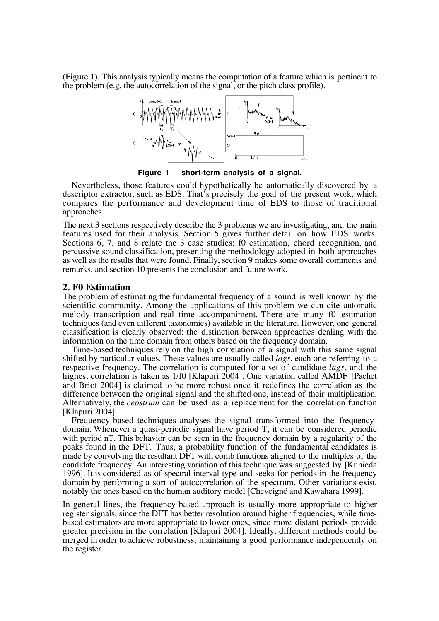(Figure 1). This analysis typically means the computation of a feature which is pertinent to the problem (e.g. the autocorrelation of the signal, or the pitch class profile).



**Figure 1 – short-term analysis of a signal.**

Nevertheless, those features could hypothetically be automatically discovered by a descriptor extractor, such as EDS. That's precisely the goal of the present work, which compares the performance and development time of EDS to those of traditional approaches.

The next 3 sections respectively describe the 3 problems we are investigating, and the main features used for their analysis. Section 5 gives further detail on how EDS works. Sections 6, 7, and 8 relate the 3 case studies: f0 estimation, chord recognition, and percussive sound classification, presenting the methodology adopted in both approaches as well as the results that were found. Finally, section 9 makes some overall comments and remarks, and section 10 presents the conclusion and future work.

## **2. F0 Estimation**

The problem of estimating the fundamental frequency of a sound is well known by the scientific community. Among the applications of this problem we can cite automatic melody transcription and real time accompaniment. There are many f0 estimation techniques (and even different taxonomies) available in the literature. However, one general classification is clearly observed: the distinction between approaches dealing with the information on the time domain from others based on the frequency domain.

Time-based techniques rely on the high correlation of a signal with this same signal shifted by particular values. These values are usually called *lags*, each one referring to a respective frequency. The correlation is computed for a set of candidate *lags*, and the highest correlation is taken as 1/f0 [Klapuri 2004]. One variation called AMDF [Pachet] and Briot 2004] is claimed to be more robust once it redefines the correlation as the difference between the original signal and the shifted one, instead of their multiplication. Alternatively, the *cepstrum* can be used as a replacement for the correlation function [Klapuri 2004].

Frequency-based techniques analyses the signal transformed into the frequencydomain. Whenever a quasi-periodic signal have period T, it can be considered periodic with period nT. This behavior can be seen in the frequency domain by a regularity of the peaks found in the DFT. Thus, a probability function of the fundamental candidates is made by convolving the resultant DFT with comb functions aligned to the multiples of the candidate frequency. An interesting variation of this technique was suggested by [Kunieda 1996]. It is considered as of spectral-interval type and seeks for periods in the frequency domain by performing a sort of autocorrelation of the spectrum. Other variations exist, notably the ones based on the human auditory model [Cheveigné and Kawahara 1999].

In general lines, the frequency-based approach is usually more appropriate to higher register signals, since the DFT has better resolution around higher frequencies, while timebased estimators are more appropriate to lower ones, since more distant periods provide greater precision in the correlation [Klapuri 2004]. Ideally, different methods could be merged in order to achieve robustness, maintaining a good performance independently on the register.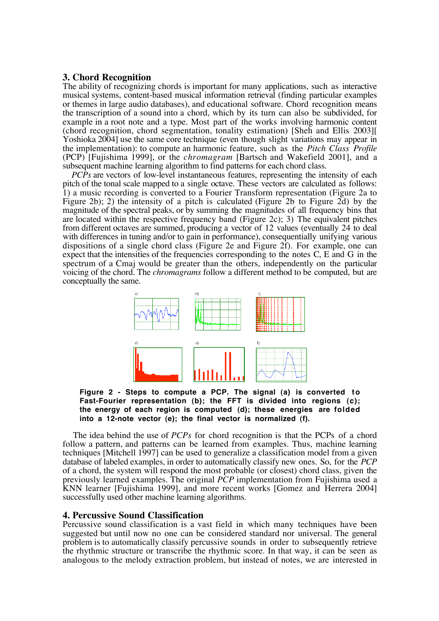# **3. Chord Recognition**

The ability of recognizing chords is important for many applications, such as interactive musical systems, content-based musical information retrieval (finding particular examples or themes in large audio databases), and educational software. Chord recognition means the transcription of a sound into a chord, which by its turn can also be subdivided, for example in a root note and a type. Most part of the works involving harmonic content (chord recognition, chord segmentation, tonality estimation) [Sheh and Ellis 2003][ Yoshioka 2004] use the same core technique (even though slight variations may appear in the implementation): to compute an harmonic feature, such as the *Pitch Class Profile* (PCP) [Fujishima 1999], or the *chromagram* [Bartsch and Wakefield 2001], and a subsequent machine learning algorithm to find patterns for each chord class.

*PCPs* are vectors of low-level instantaneous features, representing the intensity of each pitch of the tonal scale mapped to a single octave. These vectors are calculated as follows: 1) a music recording is converted to a Fourier Transform representation (Figure 2a to Figure 2b); 2) the intensity of a pitch is calculated (Figure 2b to Figure 2d) by the magnitude of the spectral peaks, or by summing the magnitudes of all frequency bins that are located within the respective frequency band (Figure 2c); 3) The equivalent pitches from different octaves are summed, producing a vector of 12 values (eventually 24 to deal with differences in tuning and/or to gain in performance), consequentially unifying various dispositions of a single chord class (Figure 2e and Figure 2f). For example, one can expect that the intensities of the frequencies corresponding to the notes C, E and G in the spectrum of a Cmaj would be greater than the others, independently on the particular voicing of the chord. The *chromagrams* follow a different method to be computed, but are conceptually the same.



Figure 2 - Steps to compute a PCP. The signal (a) is converted to **Fast-Fourier representation (b); the FFT is divided into regions (c); the energy of each region is computed (d); these energies are folded into a 12-note vector (e); the final vector is normalized (f).**

The idea behind the use of *PCPs* for chord recognition is that the PCPs of a chord follow a pattern, and patterns can be learned from examples. Thus, machine learning techniques [Mitchell 1997] can be used to generalize a classification model from a given database of labeled examples, in order to automatically classify new ones. So, for the *PCP* of a chord, the system will respond the most probable (or closest) chord class, given the previously learned examples. The original *PCP* implementation from Fujishima used a KNN learner [Fujishima 1999], and more recent works [Gomez and Herrera 2004] successfully used other machine learning algorithms.

## **4. Percussive Sound Classification**

Percussive sound classification is a vast field in which many techniques have been suggested but until now no one can be considered standard nor universal. The general problem is to automatically classify percussive sounds in order to subsequently retrieve the rhythmic structure or transcribe the rhythmic score. In that way, it can be seen as analogous to the melody extraction problem, but instead of notes, we are interested in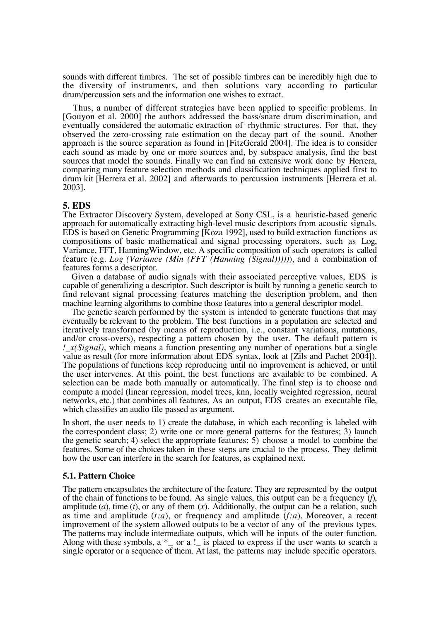sounds with different timbres. The set of possible timbres can be incredibly high due to the diversity of instruments, and then solutions vary according to particular drum/percussion sets and the information one wishes to extract.

Thus, a number of different strategies have been applied to specific problems. In [Gouyon et al. 2000] the authors addressed the bass/snare drum discrimination, and eventually considered the automatic extraction of rhythmic structures. For that, they observed the zero-crossing rate estimation on the decay part of the sound. Another approach is the source separation as found in [FitzGerald 2004]. The idea is to consider each sound as made by one or more sources and, by subspace analysis, find the best sources that model the sounds. Finally we can find an extensive work done by Herrera, comparing many feature selection methods and classification techniques applied first to drum kit [Herrera et al. 2002] and afterwards to percussion instruments [Herrera et al. 2003].

## **5. EDS**

The Extractor Discovery System, developed at Sony CSL, is a heuristic-based generic approach for automatically extracting high-level music descriptors from acoustic signals.  $EDS$  is based on Genetic Programming [Koza 1992], used to build extraction functions as compositions of basic mathematical and signal processing operators, such as Log, Variance, FFT, HanningWindow, etc. A specific composition of such operators is called feature (e.g. *Log (Variance (Min (FFT (Hanning (Signal)))))*), and a combination of features forms a descriptor.

Given a database of audio signals with their associated perceptive values, EDS is capable of generalizing a descriptor. Such descriptor is built by running a genetic search to find relevant signal processing features matching the description problem, and then machine learning algorithms to combine those features into a general descriptor model.

The genetic search performed by the system is intended to generate functions that may eventually be relevant to the problem. The best functions in a population are selected and iteratively transformed (by means of reproduction, i.e., constant variations, mutations, and/or cross-overs), respecting a pattern chosen by the user. The default pattern is *!\_x(Signal)*, which means a function presenting any number of operations but a single value as result (for more information about EDS syntax, look at [Zils and Pachet 2004]). The populations of functions keep reproducing until no improvement is achieved, or until the user intervenes. At this point, the best functions are available to be combined. A selection can be made both manually or automatically. The final step is to choose and compute a model (linear regression, model trees, knn, locally weighted regression, neural networks, etc.) that combines all features. As an output, EDS creates an executable file, which classifies an audio file passed as argument.

In short, the user needs to 1) create the database, in which each recording is labeled with the correspondent class; 2) write one or more general patterns for the features; 3) launch the genetic search; 4) select the appropriate features; 5) choose a model to combine the features. Some of the choices taken in these steps are crucial to the process. They delimit how the user can interfere in the search for features, as explained next.

## **5.1. Pattern Choice**

The pattern encapsulates the architecture of the feature. They are represented by the output of the chain of functions to be found. As single values, this output can be a frequency (*f*), amplitude  $(a)$ , time  $(t)$ , or any of them  $(x)$ . Additionally, the output can be a relation, such as time and amplitude  $(t:a)$ , or frequency and amplitude  $(f:a)$ . Moreover, a recent improvement of the system allowed outputs to be a vector of any of the previous types. The patterns may include intermediate outputs, which will be inputs of the outer function. Along with these symbols,  $a *$  or  $a !$  is placed to express if the user wants to search a single operator or a sequence of them. At last, the patterns may include specific operators.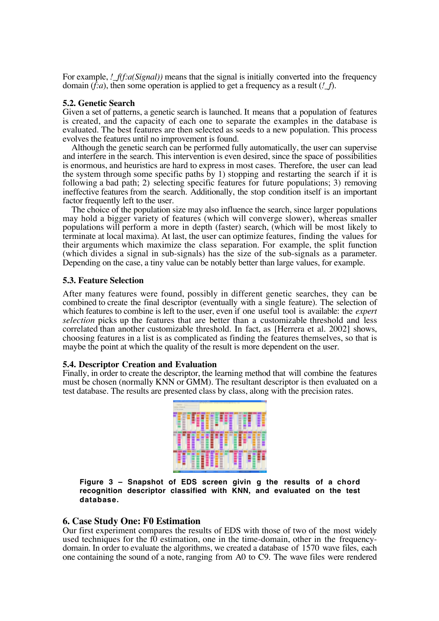For example, *!*  $f(f: a(Signal))$  means that the signal is initially converted into the frequency domain (*f:a*), then some operation is applied to get a frequency as a result (*!\_f*).

#### **5.2. Genetic Search**

Given a set of patterns, a genetic search is launched. It means that a population of features is created, and the capacity of each one to separate the examples in the database is evaluated. The best features are then selected as seeds to a new population. This process evolves the features until no improvement is found.

Although the genetic search can be performed fully automatically, the user can supervise and interfere in the search. This intervention is even desired, since the space of possibilities is enormous, and heuristics are hard to express in most cases. Therefore, the user can lead the system through some specific paths by 1) stopping and restarting the search if it is following a bad path; 2) selecting specific features for future populations; 3) removing ineffective features from the search. Additionally, the stop condition itself is an important factor frequently left to the user.

The choice of the population size may also influence the search, since larger populations may hold a bigger variety of features (which will converge slower), whereas smaller populations will perform a more in depth (faster) search, (which will be most likely to terminate at local maxima). At last, the user can optimize features, finding the values for their arguments which maximize the class separation. For example, the split function (which divides a signal in sub-signals) has the size of the sub-signals as a parameter. Depending on the case, a tiny value can be notably better than large values, for example.

## **5.3. Feature Selection**

After many features were found, possibly in different genetic searches, they can be combined to create the final descriptor (eventually with a single feature). The selection of which features to combine is left to the user, even if one useful tool is available: the *expert selection* picks up the features that are better than a customizable threshold and less correlated than another customizable threshold. In fact, as [Herrera et al. 2002] shows, choosing features in a list is as complicated as finding the features themselves, so that is maybe the point at which the quality of the result is more dependent on the user.

## **5.4. Descriptor Creation and Evaluation**

Finally, in order to create the descriptor, the learning method that will combine the features must be chosen (normally KNN or GMM). The resultant descriptor is then evaluated on a test database. The results are presented class by class, along with the precision rates.



**Figure 3 – Snapshot of EDS screen givin g the results of a chord recognition descriptor classified with KNN, and evaluated on the test database.**

## **6. Case Study One: F0 Estimation**

Our first experiment compares the results of EDS with those of two of the most widely used techniques for the f0 estimation, one in the time-domain, other in the frequencydomain. In order to evaluate the algorithms, we created a database of 1570 wave files, each one containing the sound of a note, ranging from A0 to C9. The wave files were rendered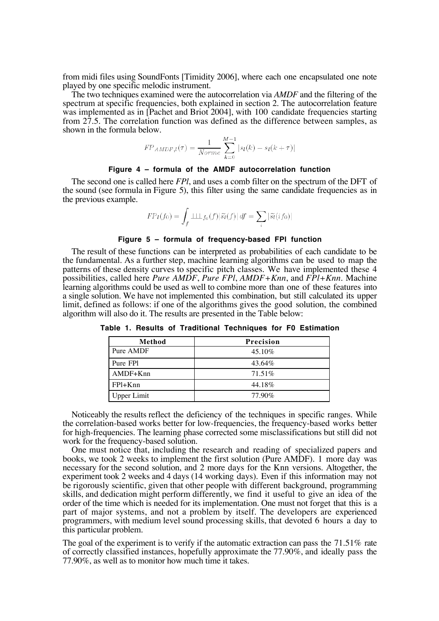from midi files using SoundFonts [Timidity 2006], where each one encapsulated one note played by one specific melodic instrument.

The two techniques examined were the autocorrelation via *AMDF* and the filtering of the spectrum at specific frequencies, both explained in section 2. The autocorrelation feature was implemented as in [Pachet and Briot 2004], with 100 candidate frequencies starting from  $27.5$ . The correlation function was defined as the difference between samples, as shown in the formula below.

$$
FP_{AMDF,l}(\tau) = \frac{1}{Norme} \sum_{k=0}^{M-1} |s_l(k) - s_l(k+\tau)|
$$

#### **Figure 4 – formula of the AMDF autocorrelation function**

The second one is called here *FPl*, and uses a comb filter on the spectrum of the DFT of the sound (see formula in Figure 5), this filter using the same candidate frequencies as in the previous example.

$$
FP_l(f_0) = \int_f \perp \perp \perp_{f_0}(f) |\tilde{s}_l(f)| df = \sum_i |\tilde{s}_l(i f_0)|
$$

#### **Figure 5 – formula of frequency-based FPl function**

The result of these functions can be interpreted as probabilities of each candidate to be the fundamental. As a further step, machine learning algorithms can be used to map the patterns of these density curves to specific pitch classes. We have implemented these 4 possibilities, called here *Pure AMDF*, *Pure FPl*, *AMDF+Knn*, and *FPl+Knn*. Machine learning algorithms could be used as well to combine more than one of these features into a single solution. We have not implemented this combination, but still calculated its upper limit, defined as follows: if one of the algorithms gives the good solution, the combined algorithm will also do it. The results are presented in the Table below:

| Method             | Precision |  |  |  |
|--------------------|-----------|--|--|--|
| Pure AMDF          | 45.10\%   |  |  |  |
| Pure FPI           | 43.64%    |  |  |  |
| $AMDF+Knn$         | $71.51\%$ |  |  |  |
| $FPI+Knn$          | 44.18%    |  |  |  |
| <b>Upper Limit</b> | 77.90%    |  |  |  |

**Table 1. Results of Traditional Techniques for F0 Estimation**

Noticeably the results reflect the deficiency of the techniques in specific ranges. While the correlation-based works better for low-frequencies, the frequency-based works better for high-frequencies. The learning phase corrected some misclassifications but still did not work for the frequency-based solution.

One must notice that, including the research and reading of specialized papers and books, we took 2 weeks to implement the first solution (Pure AMDF). 1 more day was necessary for the second solution, and 2 more days for the Knn versions. Altogether, the experiment took 2 weeks and 4 days (14 working days). Even if this information may not be rigorously scientific, given that other people with different background, programming skills, and dedication might perform differently, we find it useful to give an idea of the order of the time which is needed for its implementation. One must not forget that this is a part of major systems, and not a problem by itself. The developers are experienced programmers, with medium level sound processing skills, that devoted 6 hours a day to this particular problem.

The goal of the experiment is to verify if the automatic extraction can pass the 71.51% rate of correctly classified instances, hopefully approximate the 77.90%, and ideally pass the 77.90%, as well as to monitor how much time it takes.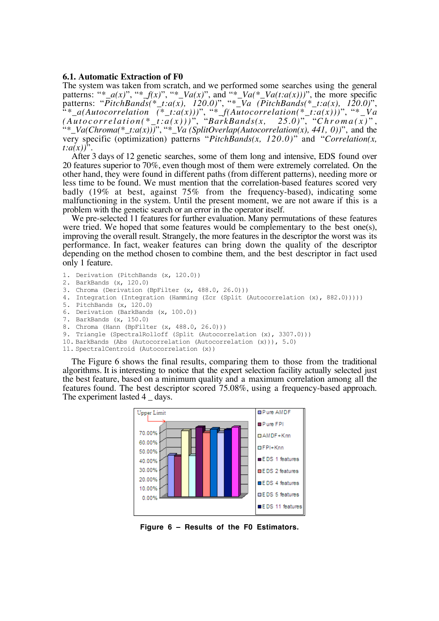#### **6.1. Automatic Extraction of F0**

The system was taken from scratch, and we performed some searches using the general patterns: "\*\_a(x)", "\*\_f(x)", "\*\_Va(x)", and "\*\_Va(\*\_Va(t:a(x)))", the more specific patterns: "*PitchBands(\*\_t:a(x), 120.0)*", "*\*\_Va (PitchBands(\*\_t:a(x), 120.0)*", "*\*\_a(Autocorrelation (\*\_t:a(x)))*", "*\*\_f(Autocorrelation(\*\_t:a(x)))*", "*\*\_Va (Autocorrelation(\*\_t:a(x)))* ", "*BarkBands(x, 25.0)*", "*Chroma(x)* " , "*\*\_Va(Chroma(\*\_t:a(x)))*", "*\*\_Va (SplitOverlap(Autocorrelation(x), 441, 0))*", and the very specific (optimization) patterns "*PitchBands(x, 120.0)*" and "*Correlation(x, t:a(x))*".

After 3 days of 12 genetic searches, some of them long and intensive, EDS found over 20 features superior to 70%, even though most of them were extremely correlated. On the other hand, they were found in different paths (from different patterns), needing more or less time to be found. We must mention that the correlation-based features scored very badly (19% at best, against 75% from the frequency-based), indicating some malfunctioning in the system. Until the present moment, we are not aware if this is a problem with the genetic search or an error in the operator itself.

We pre-selected 11 features for further evaluation. Many permutations of these features were tried. We hoped that some features would be complementary to the best one(s), improving the overall result. Strangely, the more features in the descriptor the worst was its performance. In fact, weaker features can bring down the quality of the descriptor depending on the method chosen to combine them, and the best descriptor in fact used only 1 feature.

```
1. Derivation (PitchBands (x, 120.0))
```

```
2. BarkBands (x, 120.0)
```
- 3. Chroma (Derivation (BpFilter (x, 488.0, 26.0)))
- 4. Integration (Integration (Hamming (Zcr (Split (Autocorrelation (x), 882.0)))))
- 5. PitchBands (x, 120.0)
- 6. Derivation (BarkBands (x, 100.0))
- 7. BarkBands (x, 150.0)
- 8. Chroma (Hann (BpFilter (x, 488.0, 26.0)))
- 9. Triangle (SpectralRolloff (Split (Autocorrelation (x), 3307.0)))
- 10. BarkBands (Abs (Autocorrelation (Autocorrelation (x))), 5.0)
- 11. SpectralCentroid (Autocorrelation (x))

The Figure 6 shows the final results, comparing them to those from the traditional algorithms. It is interesting to notice that the expert selection facility actually selected just the best feature, based on a minimum quality and a maximum correlation among all the features found. The best descriptor scored 75.08%, using a frequency-based approach. The experiment lasted 4 \_ days.



**Figure 6 – Results of the F0 Estimators.**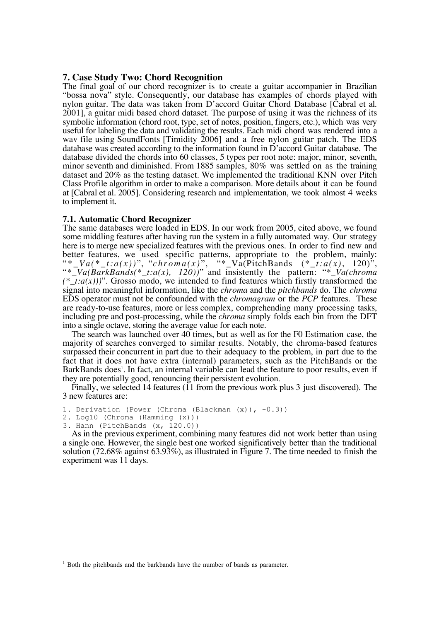# **7. Case Study Two: Chord Recognition**

The final goal of our chord recognizer is to create a guitar accompanier in Brazilian "bossa nova" style. Consequently, our database has examples of chords played with nylon guitar. The data was taken from D'accord Guitar Chord Database [Cabral et al. 2001], a guitar midi based chord dataset. The purpose of using it was the richness of its symbolic information (chord root, type, set of notes, position, fingers, etc.), which was very useful for labeling the data and validating the results. Each midi chord was rendered into a wav file using SoundFonts [Timidity 2006] and a free nylon guitar patch. The EDS database was created according to the information found in D'accord Guitar database. The database divided the chords into 60 classes, 5 types per root note: major, minor, seventh, minor seventh and diminished. From 1885 samples, 80% was settled on as the training dataset and 20% as the testing dataset. We implemented the traditional KNN over Pitch Class Profile algorithm in order to make a comparison. More details about it can be found at [Cabral et al. 2005]. Considering research and implementation, we took almost 4 weeks to implement it.

#### **7.1. Automatic Chord Recognizer**

The same databases were loaded in EDS. In our work from 2005, cited above, we found some middling features after having run the system in a fully automated way. Our strategy here is to merge new specialized features with the previous ones. In order to find new and better features, we used specific patterns, appropriate to the problem, mainly: " \* *\_Va(\*\_t:a(x))* ", "*chroma(x)* ", "\*\_Va(PitchBands (*\*\_t:a(x)*, 120)", "*\*\_Va(BarkBands(\*\_t:a(x), 120))*" and insistently the pattern: "*\*\_Va(chroma*  $(*\bar{t}:a(x))$ ". Grosso modo, we intended to find features which firstly transformed the signal into meaningful information, like the *chroma* and the *pitchbands* do. The *chroma* EDS operator must not be confounded with the *chromagram* or the *PCP* features. These are ready-to-use features, more or less complex, comprehending many processing tasks, including pre and post-processing, while the *chroma* simply folds each bin from the DFT into a single octave, storing the average value for each note.

The search was launched over 40 times, but as well as for the F0 Estimation case, the majority of searches converged to similar results. Notably, the chroma-based features surpassed their concurrent in part due to their adequacy to the problem, in part due to the fact that it does not have extra (internal) parameters, such as the PitchBands or the BarkBands does<sup>1</sup>. In fact, an internal variable can lead the feature to poor results, even if they are potentially good, renouncing their persistent evolution.

Finally, we selected 14 features ( $11$  from the previous work plus 3 just discovered). The 3 new features are:

```
1. Derivation (Power (Chroma (Blackman (x)), -0.3))
```

```
2. Log10 (Chroma (Hamming (x)))
```

```
3. Hann (PitchBands (x, 120.0))
```
 $\overline{a}$ 

As in the previous experiment, combining many features did not work better than using a single one. However, the single best one worked significatively better than the traditional solution (72.68% against 63.93%), as illustrated in Figure 7. The time needed to finish the experiment was 11 days.

<sup>&</sup>lt;sup>1</sup> Both the pitchbands and the barkbands have the number of bands as parameter.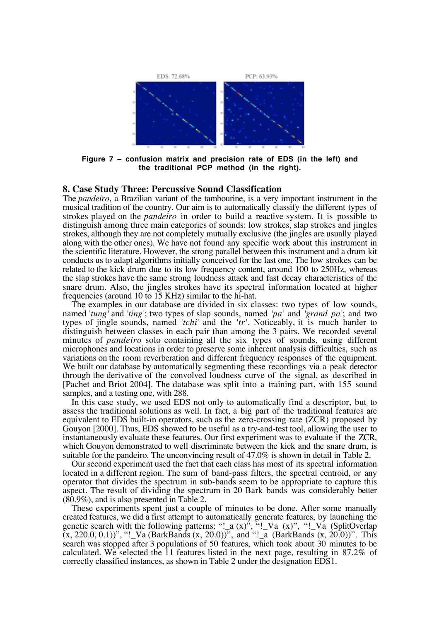

**Figure 7 – confusion matrix and precision rate of EDS (in the left) and the traditional PCP method (in the right).**

#### **8. Case Study Three: Percussive Sound Classification**

The *pandeiro*, a Brazilian variant of the tambourine, is a very important instrument in the musical tradition of the country. Our aim is to automatically classify the different types of strokes played on the *pandeiro* in order to build a reactive system. It is possible to distinguish among three main categories of sounds: low strokes, slap strokes and jingles strokes, although they are not completely mutually exclusive (the jingles are usually played along with the other ones). We have not found any specific work about this instrument in the scientific literature. However, the strong parallel between this instrument and a drum kit conducts us to adapt algorithms initially conceived for the last one. The low strokes can be related to the kick drum due to its low frequency content, around 100 to 250Hz, whereas the slap strokes have the same strong loudness attack and fast decay characteristics of the snare drum. Also, the jingles strokes have its spectral information located at higher frequencies (around 10 to 15 KHz) similar to the hi-hat.

The examples in our database are divided in six classes: two types of low sounds, named '*tung'* and *'ting'*; two types of slap sounds, named *'pa'* and *'grand pa'*; and two types of jingle sounds, named *'tchi'* and the *'tr'*. Noticeably, it is much harder to distinguish between classes in each pair than among the 3 pairs. We recorded several minutes of *pandeiro* solo containing all the six types of sounds, using different microphones and locations in order to preserve some inherent analysis difficulties, such as variations on the room reverberation and different frequency responses of the equipment. We built our database by automatically segmenting these recordings via a peak detector through the derivative of the convolved loudness curve of the signal, as described in [Pachet and Briot 2004]. The database was split into a training part, with 155 sound samples, and a testing one, with 288.

In this case study, we used EDS not only to automatically find a descriptor, but to assess the traditional solutions as well. In fact, a big part of the traditional features are equivalent to EDS built-in operators, such as the zero-crossing rate (ZCR) proposed by Gouyon [2000]. Thus, EDS showed to be useful as a try-and-test tool, allowing the user to instantaneously evaluate these features. Our first experiment was to evaluate if the ZCR, which Gouyon demonstrated to well discriminate between the kick and the snare drum, is suitable for the pandeiro. The unconvincing result of 47.0% is shown in detail in Table 2.

Our second experiment used the fact that each class has most of its spectral information located in a different region. The sum of band-pass filters, the spectral centroid, or any operator that divides the spectrum in sub-bands seem to be appropriate to capture this aspect. The result of dividing the spectrum in 20 Bark bands was considerably better (80.9%), and is also presented in Table 2.

These experiments spent just a couple of minutes to be done. After some manually created features, we did a first attempt to automatically generate features, by launching the genetic search with the following patterns: "!\_a (x)", "!\_Va (x)", "!\_Va (SplitOverlap (x, 220.0, 0.1))", "!\_Va (BarkBands (x, 20.0))", and "!\_a (BarkBands (x, 20.0))". This search was stopped after 3 populations of 50 features, which took about 30 minutes to be calculated. We selected the 11 features listed in the next page, resulting in 87.2% of correctly classified instances, as shown in Table 2 under the designation EDS1.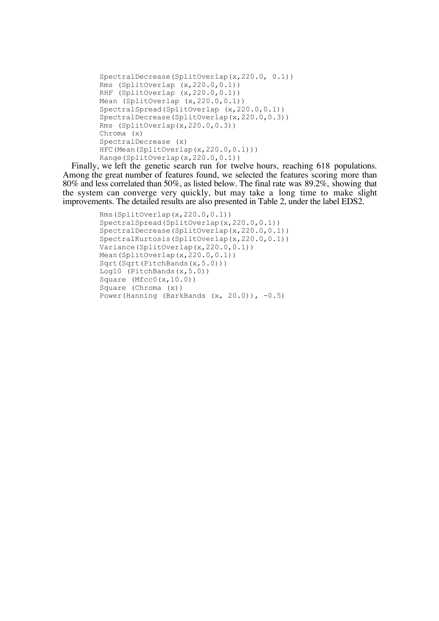```
SpectralDecrease(SplitOverlap(x,220.0, 0.1))
Rms (SplitOverlap (x,220.0,0.1))
RHF (SplitOverlap (x, 220.0, 0.1))
Mean (SplitOverlap (x, 220.0, 0.1))
SpectralSpread(SplitOverlap (x,220.0,0.1))
SpectralDecrease(SplitOverlap(x,220.0,0.3))
Rms (SplitOverlap(x,220.0,0.3))
Chroma (x)
SpectralDecrease (x)
HFC(Mean(SplitOverlap(x,220.0,0.1)))
Range(SplitOverlap(x,220.0,0.1))
```
Finally, we left the genetic search run for twelve hours, reaching 618 populations. Among the great number of features found, we selected the features scoring more than 80% and less correlated than 50%, as listed below. The final rate was 89.2%, showing that the system can converge very quickly, but may take a long time to make slight improvements. The detailed results are also presented in Table 2, under the label EDS2.

```
Rms(SplitOverlap(x,220.0,0.1))
SpectralSpread(SplitOverlap(x,220.0,0.1))
SpectralDecrease(SplitOverlap(x,220.0,0.1))
SpectralKurtosis(SplitOverlap(x,220.0,0.1))
Variance(SplitOverlap(x, 220.0, 0.1))
Mean(SplitOverlap(x, 220.0,0.1))
Sqrt(Sqrt(PitchBands(x, 5.0)))
Log10 (PitchBands(x, 5.0))
Square (Mfcc0(x,10.0))
Square (Chroma (x))
Power(Hanning (BarkBands (x, 20.0)), -0.5)
```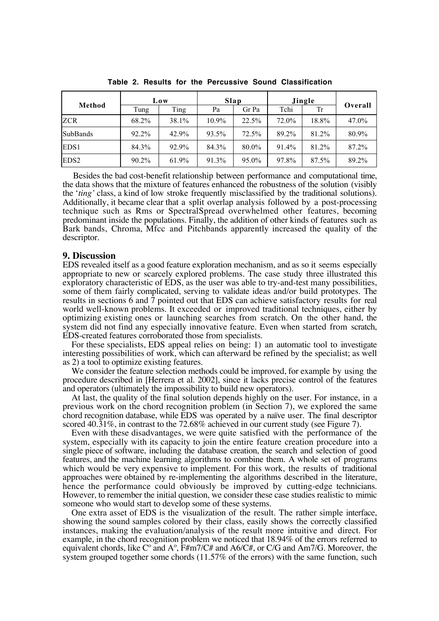| Method           | Low   |       | Slap     |       | Jingle |       |         |
|------------------|-------|-------|----------|-------|--------|-------|---------|
|                  | Tung  | Ting  | Pa       | Gr Pa | Tchi   | Tr    | Overall |
| <b>ZCR</b>       | 68.2% | 38.1% | $10.9\%$ | 22.5% | 72.0%  | 18.8% | 47.0%   |
| <b>SubBands</b>  | 92.2% | 42.9% | 93.5%    | 72.5% | 89.2%  | 81.2% | 80.9%   |
| EDS <sub>1</sub> | 84.3% | 92.9% | 84.3%    | 80.0% | 91.4%  | 81.2% | 87.2%   |
| EDS <sub>2</sub> | 90.2% | 61.9% | 91.3%    | 95.0% | 97.8%  | 87.5% | 89.2%   |

**Table 2. Results for the Percussive Sound Classification**

Besides the bad cost-benefit relationship between performance and computational time, the data shows that the mixture of features enhanced the robustness of the solution (visibly the '*ting'* class, a kind of low stroke frequently misclassified by the traditional solutions). Additionally, it became clear that a split overlap analysis followed by a post-processing technique such as Rms or SpectralSpread overwhelmed other features, becoming predominant inside the populations. Finally, the addition of other kinds of features such as Bark bands, Chroma, Mfcc and Pitchbands apparently increased the quality of the descriptor.

#### **9. Discussion**

EDS revealed itself as a good feature exploration mechanism, and as so it seems especially appropriate to new or scarcely explored problems. The case study three illustrated this exploratory characteristic of EDS, as the user was able to try-and-test many possibilities, some of them fairly complicated, serving to validate ideas and/or build prototypes. The results in sections 6 and 7 pointed out that EDS can achieve satisfactory results for real world well-known problems. It exceeded or improved traditional techniques, either by optimizing existing ones or launching searches from scratch. On the other hand, the system did not find any especially innovative feature. Even when started from scratch, EDS-created features corroborated those from specialists.

For these specialists, EDS appeal relies on being: 1) an automatic tool to investigate interesting possibilities of work, which can afterward be refined by the specialist; as well as 2) a tool to optimize existing features.

We consider the feature selection methods could be improved, for example by using the procedure described in [Herrera et al. 2002], since it lacks precise control of the features and operators (ultimately the impossibility to build new operators).

At last, the quality of the final solution depends highly on the user. For instance, in a previous work on the chord recognition problem (in Section 7), we explored the same chord recognition database, while EDS was operated by a naïve user. The final descriptor scored 40.31%, in contrast to the 72.68% achieved in our current study (see Figure 7).

Even with these disadvantages, we were quite satisfied with the performance of the system, especially with its capacity to join the entire feature creation procedure into a single piece of software, including the database creation, the search and selection of good features, and the machine learning algorithms to combine them. A whole set of programs which would be very expensive to implement. For this work, the results of traditional approaches were obtained by re-implementing the algorithms described in the literature, hence the performance could obviously be improved by cutting-edge technicians. However, to remember the initial question, we consider these case studies realistic to mimic someone who would start to develop some of these systems.

One extra asset of EDS is the visualization of the result. The rather simple interface, showing the sound samples colored by their class, easily shows the correctly classified instances, making the evaluation/analysis of the result more intuitive and direct. For example, in the chord recognition problem we noticed that 18.94% of the errors referred to equivalent chords, like  $C^{\circ}$  and  $A^{\circ}$ ,  $F\#m7/C\#$  and  $A6/C\#$ , or  $C/G$  and  $Am7/G$ . Moreover, the system grouped together some chords (11.57% of the errors) with the same function, such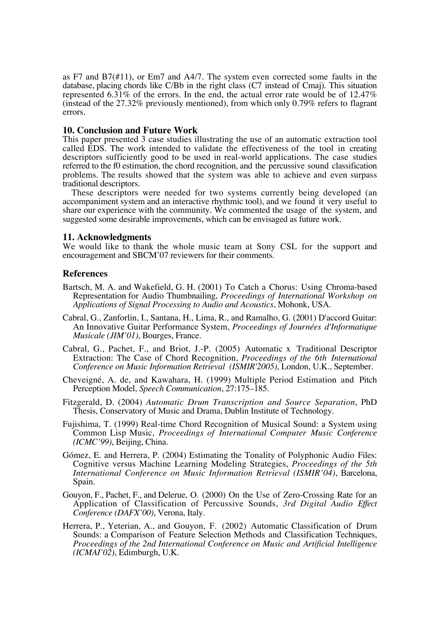as F7 and B7(#11), or Em7 and A4/7. The system even corrected some faults in the database, placing chords like C/Bb in the right class (C7 instead of Cmaj). This situation represented 6.31% of the errors. In the end, the actual error rate would be of 12.47% (instead of the 27.32% previously mentioned), from which only 0.79% refers to flagrant errors.

# **10. Conclusion and Future Work**

This paper presented 3 case studies illustrating the use of an automatic extraction tool called EDS. The work intended to validate the effectiveness of the tool in creating descriptors sufficiently good to be used in real-world applications. The case studies referred to the f0 estimation, the chord recognition, and the percussive sound classification problems. The results showed that the system was able to achieve and even surpass traditional descriptors.

These descriptors were needed for two systems currently being developed (an accompaniment system and an interactive rhythmic tool), and we found it very useful to share our experience with the community. We commented the usage of the system, and suggested some desirable improvements, which can be envisaged as future work.

## **11. Acknowledgments**

We would like to thank the whole music team at Sony CSL for the support and encouragement and SBCM'07 reviewers for their comments.

#### **References**

- Bartsch, M. A. and Wakefield, G. H. (2001) To Catch a Chorus: Using Chroma-based Representation for Audio Thumbnailing, *Proceedings of International Workshop on Applications of Signal Processing to Audio and Acoustics*, Mohonk, USA.
- Cabral, G., Zanforlin, I., Santana, H., Lima, R., and Ramalho, G. (2001) D'accord Guitar: An Innovative Guitar Performance System, *Proceedings of Journées d'Informatique Musicale (JIM'01)*, Bourges, France.
- Cabral, G., Pachet, F., and Briot, J.-P. (2005) Automatic x Traditional Descriptor Extraction: The Case of Chord Recognition, *Proceedings of the 6th International Conference on Music Information Retrieval (ISMIR'2005)*, London, U.K., September.
- Cheveigné, A. de, and Kawahara, H. (1999) Multiple Period Estimation and Pitch Perception Model, *Speech Communication*, 27:175–185.
- Fitzgerald, D. (2004) *Automatic Drum Transcription and Source Separation*, PhD Thesis, Conservatory of Music and Drama, Dublin Institute of Technology.
- Fujishima, T. (1999) Real-time Chord Recognition of Musical Sound: a System using Common Lisp Music, *Proceedings of International Computer Music Conference (ICMC'99)*, Beijing, China.
- Gómez, E. and Herrera, P. (2004) Estimating the Tonality of Polyphonic Audio Files: Cognitive versus Machine Learning Modeling Strategies, *Proceedings of the 5th International Conference on Music Information Retrieval (ISMIR'04)*, Barcelona, Spain.
- Gouyon, F., Pachet, F., and Delerue, O. (2000) On the Use of Zero-Crossing Rate for an Application of Classification of Percussive Sounds, *3rd Digital Audio Effect Conference (DAFX'00)*, Verona, Italy.
- Herrera, P., Yeterian, A., and Gouyon, F. (2002) Automatic Classification of Drum Sounds: a Comparison of Feature Selection Methods and Classification Techniques, *Proceedings of the 2nd International Conference on Music and Artificial Intelligence (ICMAI'02)*, Edimburgh, U.K.